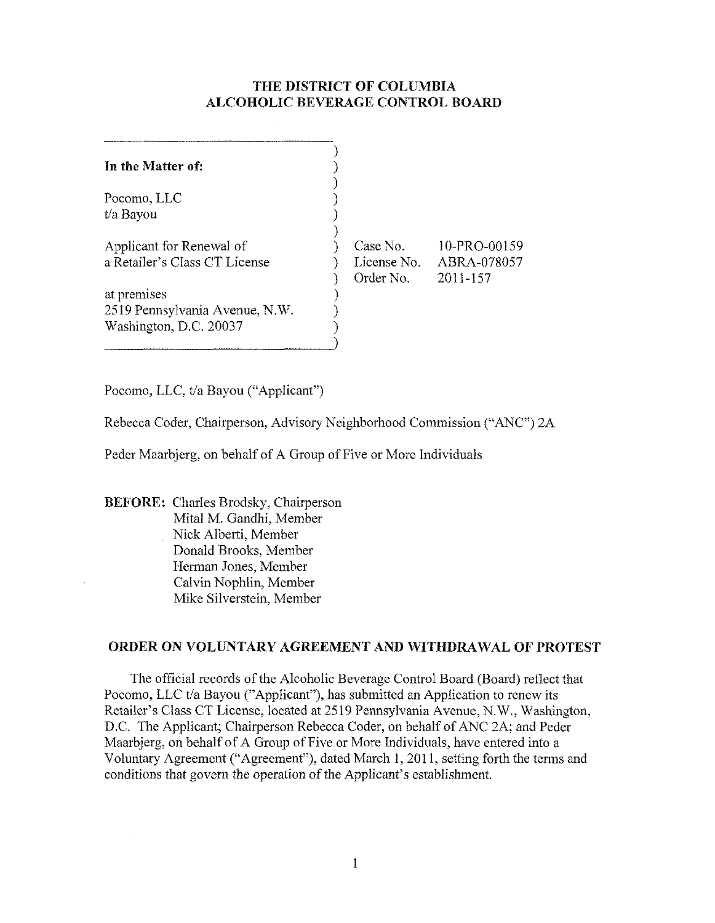# **THE** DISTRICT OF COLUMBIA ALCOHOLIC BEVERAGE CONTROL BOARD

| In the Matter of:              |             |              |
|--------------------------------|-------------|--------------|
| Pocomo, LLC                    |             |              |
| t/a Bayou                      |             |              |
|                                |             |              |
| Applicant for Renewal of       | Case No.    | 10-PRO-00159 |
| a Retailer's Class CT License  | License No. | ABRA-078057  |
|                                | Order No.   | 2011-157     |
| at premises                    |             |              |
| 2519 Pennsylvania Avenue, N.W. |             |              |
| Washington, D.C. 20037         |             |              |
|                                |             |              |

Pocomo, LLC, t/a Bayou ("Applicant")

Rebecca Coder, Chairperson, Advisory Neighborhood Commission ("ANC") 2A

Peder Maarbjerg, on behalf of A Group of Five or More Individuals

BEFORE: Charles Brodsky, Chairperson Mital M. Gandhi, Member Nick Alberti, Member Donald Brooks, Member Herman Jones, Member Calvin Nophlin, Member Mike Silverstein, Member

# ORDER ON VOLUNTARY AGREEMENT AND **WITHDRAWAL** OF PROTEST

The official records of the Alcoholic Beverage Control Board (Board) reflect that Pocomo, LLC t/a Bayou ("Applicant"), has submitted an Application to renew its Retailer's Class CT License, located at 2519 Pennsylvania Avenue, N.W., Washington, D.C. The Applicant; Chairperson Rebecca Coder, on behalf of ANC 2A; and Peder Maarbjerg, on behalf of A Group of Five or More Individuals, have entered into a Voluntary Agreement ("Agreement"), dated March 1, 2011, setting forth the tenns and conditions that govern the operation of the Applicant's establishment.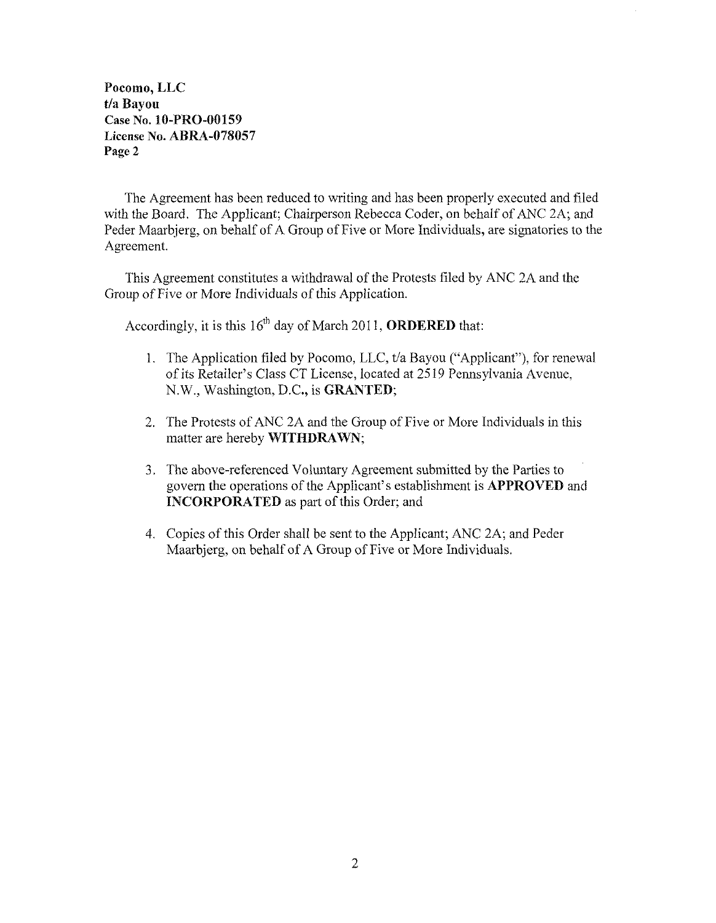Pocomo, LLC t/a Bayou Case No. lO-PRO-00159 License No. ABRA-078057 Page 2

The Agreement has been reduced to writing and has been properly executed and filed with the Board. The Applicant; Chairperson Rebecca Coder, on behalf of ANC 2A; and Peder Maarbjerg, on behalf of A Group of Five or More Individuals, are signatories to the Agreement.

This Agreement constitutes a withdrawal of the Protests filed by ANC 2A and the Group of Five or More Individuals of this Application.

Accordingly, it is this  $16^{th}$  day of March 2011, **ORDERED** that:

- 1. The Application filed by Pocomo, LLC, t/a Bayou ("Applicant"), for renewal of its Retailer's Class CT License, located at 2519 Pennsylvania Avenue, N.W., Washington, D.C., is GRANTED;
- 2. The Protests of ANC 2A and the Group of Five or More Individuals in this matter are hereby WITHDRAWN;
- 3. The above-referenced Voluntary Agreement submitted by the Parties to govern the operations of the Applicant's establishment is **APPROVED** and INCORPORATED as part of this Order; and
- 4. Copies of this Order shall be sent to the Applicant; ANC 2A; and Peder Maarbjerg, on behalf of A Group of Five or More Individuals.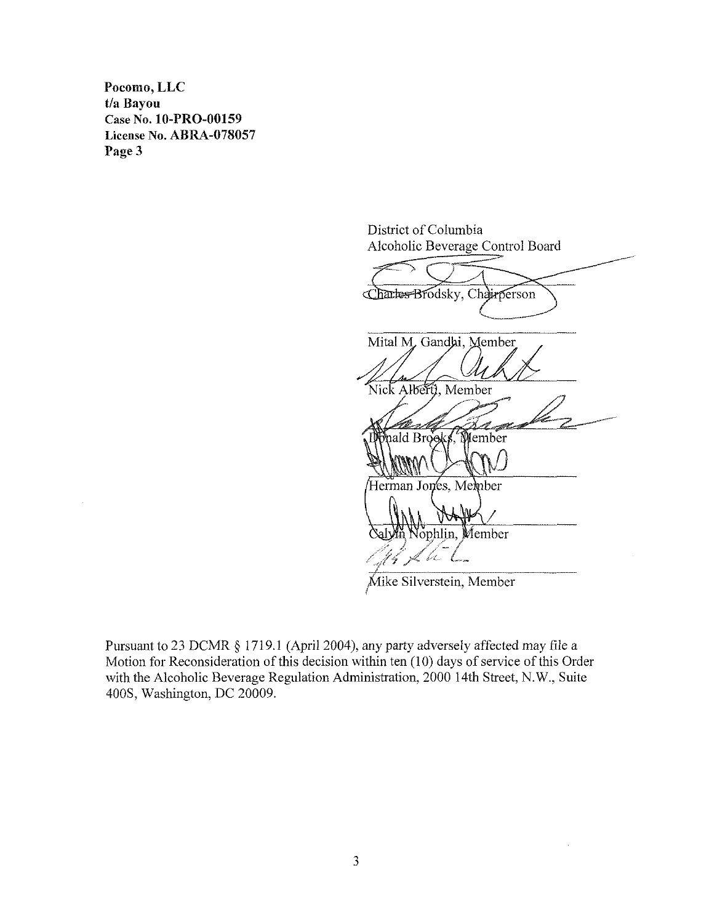**Pocomo,LLC t/a Bayou Case No. lO-PRO-00159 License No. ABRA-0780S7**  Page 3

District of Columbia Alcoholic Beverage Control Board

Charles Brodsky, Chairperson Mital M, Gandhi, Member Nick Alberti, Member nald Brooks, Member Herman Jones, Member Member ophlin, ang Kabupatèn Jaw  $\ell$  and  $\ell$ 

Mike Silverstein, Member

Pursuant to 23 DCMR § 1719.l (April 2004), any party adversely affected may file a Motion for Reconsideration of this decision within ten (10) days of service of this Order with the Alcoholic Beverage Regulation Administration, 2000 14th Street, N.W., Suite 400S. Washington, DC 20009.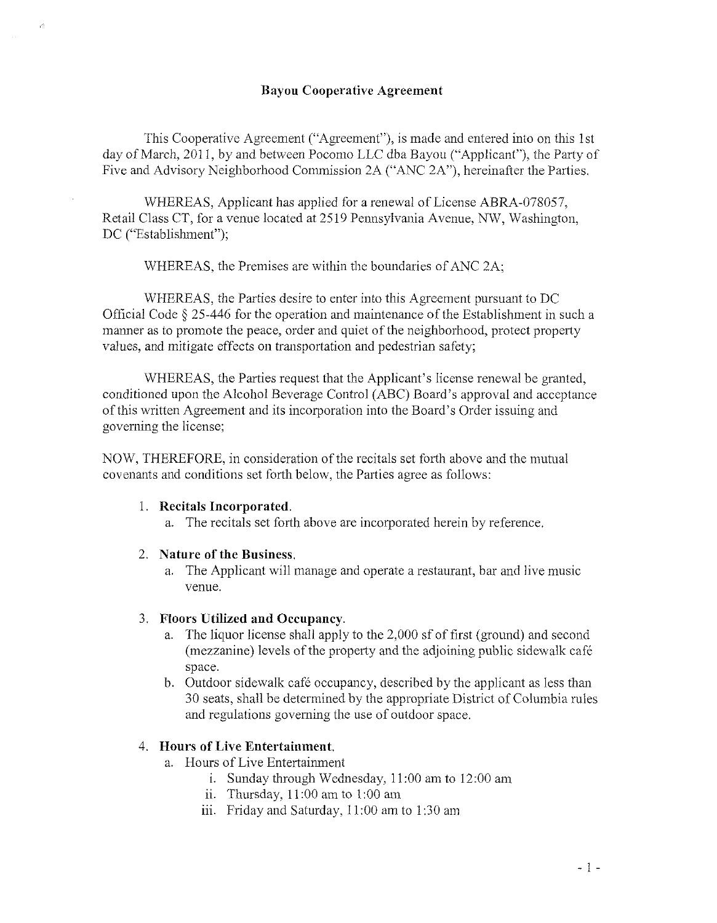#### **Bayou Cooperative Agreement**

This Cooperative Agreement ("Agreement"), is made and entered into on this 1st day of March, 2011, by and between Pocomo LLC dba Bayou ("Applicant"), the Party of Five and Advisory Neighborhood Commission 2A ("ANC 2A"), hereinafter the Parties,

WHEREAS, Applicant has applied for a renewal of License ABRA-078057, Retail Class CT, for a venue located at 2519 Pennsylvania Avenue, NW, Washington, DC ("Establishment");

WHEREAS, the Premises are within the boundaries of ANC 2A;

WHEREAS, the Parties desire to enter into this Agreement pursuant to DC Official Code § 25-446 for the operation and maintenance of the Establishment in such a manner as to promote the peace, order and quiet of the neighborhood, protect property values, and mitigate effects on transportation and pedestrian safety;

WHEREAS, the Parties request that the Applicant's license renewal be granted, conditioned upon the Alcohol Beverage Control (ABC) Board's approval and acceptance of this written Agreement and its incorporation into the Board's Order issuing and governing the license;

NOW, THEREFORE, in consideration of the recitals set forth above and the mutual covenants and conditions set forth below, the Parties agree as follows:

#### 1. **Recitals Incorporated.**

a. The recitals set forth above are incorporated hcrein by reference.

#### 2. **Nature of the Business.**

a. The Applicant will manage and operate a restaurant, bar and live music venue.

#### 3. **Floors Utilized and Occupancy.**

- a. The liquor license shall apply to the 2,000 sf of first (ground) and second (mezzanine) levels of the property and the adjoining public sidewalk cafe space.
- b. Outdoor sidewalk café occupancy, described by the applicant as less than 30 seats, shall be determined by the appropriate District of Columbia rules and regulations governing the use of outdoor space.

### 4. **Hours of Live Entertainment.**

- a. Hours of Live Entertainment
	- i. Sunday through Wednesday,  $11:00$  am to  $12:00$  am
	- ii. Thursday, 11:00 am to 1:00 am
	- iii. Friday and Saturday,  $11:00$  am to  $1:30$  am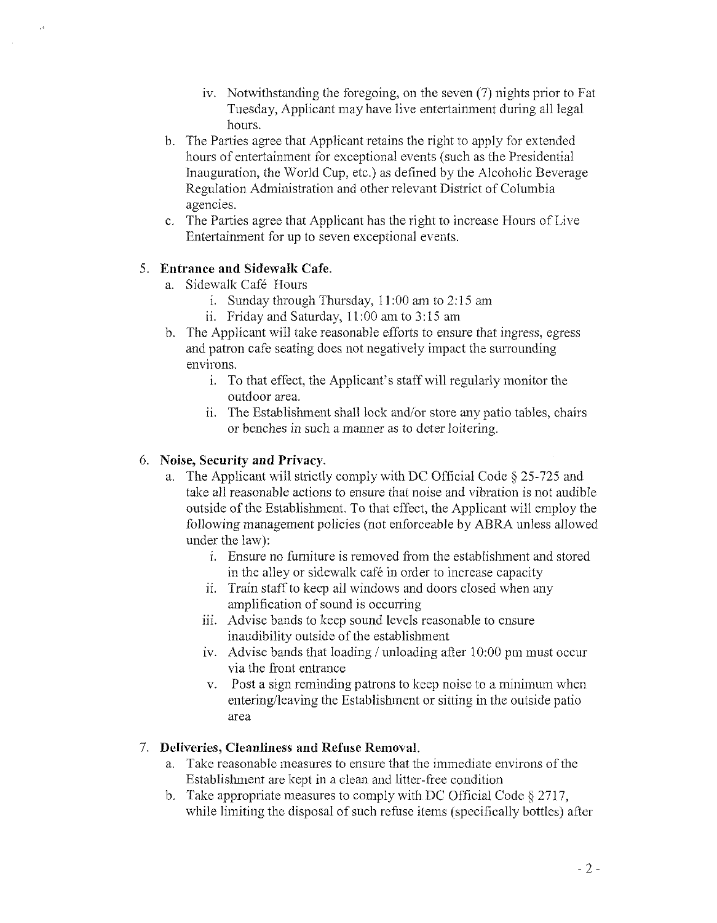- iv. Notwithstanding the foregoing, on the seven  $(7)$  nights prior to Fat Tuesday, Applicant may have live entertainment during all legal hours.
- b. The Parties agree that Applicant retains the right to apply for extended hours of entertainment for exceptional events (such as the Presidential Inauguration, the World Cup, etc.) as defined by the Alcoholic Beverage Regulation Administration and other relevant District of Columbia agencies.
- c. The Parties agree that Applicant has the right to increase Hours of Live Entertainment for up to seven exceptional events.

# 5. **Entrance and Sidewalk Cafe.**

- a. Sidewalk Cafe Hours
	- i. Sunday through Thursday, II :00 am to 2: 15 am
	- ii. Friday and Saturday, 11 :00 am to 3: 15 am
- b. The Applicant will take reasonable efforts to ensure that ingress, egress and patron cafe seating does not negatively impact the surrounding environs.
	- i. To that effect, the Applicant's staff will regularly monitor the outdoor area.
	- ii. The Establishment shall lock and/or store any patio tables, chairs or benches in such a manner as to deter loitering.

# 6. **Noise, Security and Privacy.**

- a. The Applicant will strictly comply with DC Official Code § 25-725 and take all reasonable actions to ensure that noise and vibration is not audible outside of the Establishment. To that effect, the Applicant will employ the following management policies (not enforceable by ABRA unless allowed under the law):
	- i. Ensure no furniture is removed from the establishment and stored in the alley or sidewalk cafe in order to increase capacity
	- ii. Train staff to keep all windows and doors closed when any amplification of sound is occurring
	- iii. Advise bands to keep sound levels reasonable to ensure inaudibility outside of the establishment
	- iv. Advise bands that loading / unloading after  $10:00$  pm must occur via the front entrance
	- v. Post a sign reminding patrons to keep noise to a minimum when entering/leaving the Establishment or sitting in the outside patio area

# 7. **Deliveries, Cleanliness and Refuse Removal.**

- a. Take reasonable measures to ensure that the immediate environs of the Establishment are kept in a clean and litter-free condition
- b. Take appropriate measures to comply with DC Official Code § 2717, while limiting the disposal of such refuse items (specifically bottles) after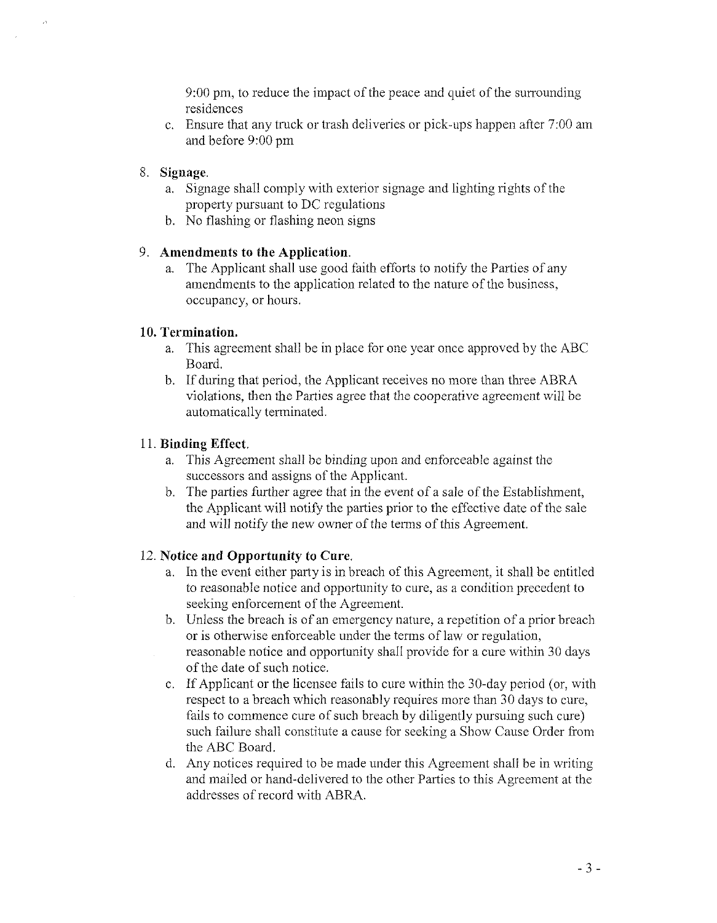9:00 pm, to reduce the impact of the peace and quiet of the surrounding residences

c. Ensure that any truck or trash deliveries or pick-ups happen after 7:00 am and before 9:00 pm

# 8. Sign age.

- a. Signage shall comply with exterior signage and lighting rights of the property pursuant to DC regulations
- b. No flashing or flashing neon signs

# 9. **Amendments to the Application.**

a. The Applicant shall use good faith efforts to notify the Parties of any amendments to the application related to the nature of the business, occupancy, or hours.

# **10. Termination.**

- a. This agreement shall be in place for one year once approved by the ABC Board.
- b. If during that period, the Applicant receives no more than three ABRA violations, then the Parties agree that the cooperative agreement will be automatically terminated.

# 11. **Binding Effect.**

- a. This Agreement shall be binding upon and enforceable against the successors and assigns of the Applicant.
- b. The parties further agree that in the event of a sale of the Establishment, the Applicant will notify the parties prior to the effective date of the sale and will notify the new owner of the terms of this Agreement.

# 12. **Notice and Opportnnity to Cure.**

- a. In the event either party is in breach of this Agreement, it shall be entitled to reasonable notice and opportunity to cure, as a condition precedent to seeking enforcement of the Agreement.
- b. Unless the breach is of an emergency nature, a repetition of a prior breach or is otherwise enforceable under the terms of law or regulation, reasonable notice and opportunity shall provide for a cure within 30 days of the date of such notice.
- c. If Applicant or the licensee fails to cure within the 30-day period (or, with respect to a breach which reasonably requires more than 30 days to cure, fails to commence cure of such breach by diligently pursuing such cure) such failure shall constitute a cause for seeking a Show Cause Order from the ABC Board.
- d. Any notices required to be made under this Agreement shall be in writing and mailed or hand-delivered to the other Parties to this Agreement at the addresses of record with ABRA.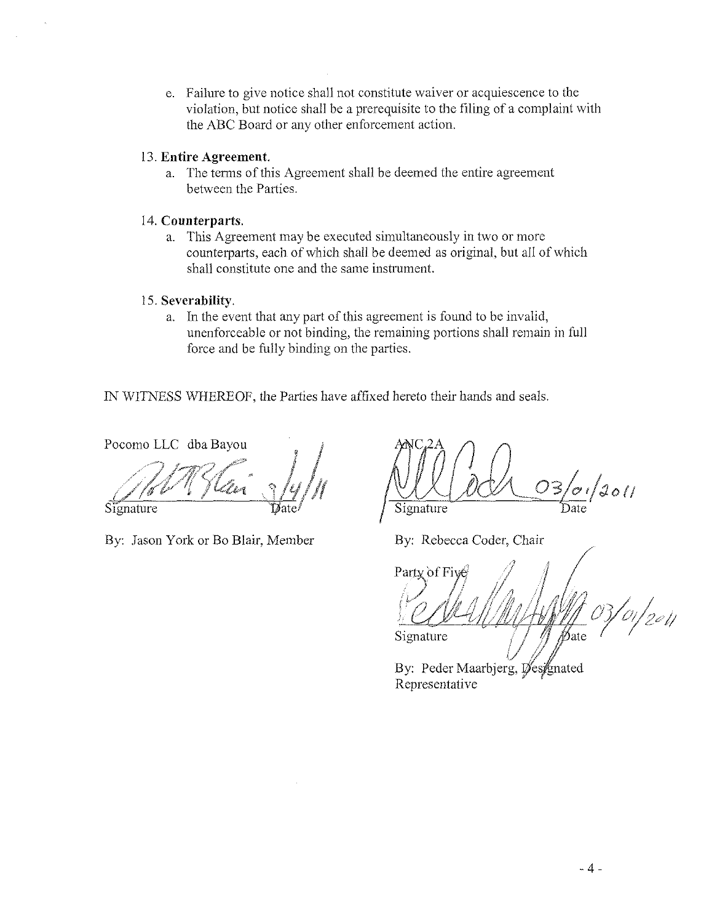e. Failure to give notice shall not constitute waiver or acquiescence to the violation, but notice shall be a prerequisite to the filing of a complaint with the ABC Board or any other enforcement action.

### 13. **Entire Agreement.**

a. The terms of this Agreement shall be deemed the entire agreement between the Parties.

### 14. **Connterparts.**

a. This Agreement may be executed simultaneously in two or more counterparts, each of which shall be deemed as original, but all of which shall constitute one and the same instrument.

# 15. **Severability.**

a. In the event that any part of this agreement is found to be invalid, unenforceable or not binding, the remaining portions shall remain in full force and be fully binding on the parties.

IN WITNESS WHEREOF, the Parties have affixed hereto their hands and seals.

Pocomo LLC dba Bayou

Signature

By: Jason York or Bo Blair, Member

 $C^{2A}$   $\bigcap$   $\bigcap$  $\sqrt{d}$  $S$ ignature

By: Rebecca Coder, Chair

Party of Five 01/2011 ∲⁄ate Signature

By: Peder Maarbjerg, Øes/gnated Representative